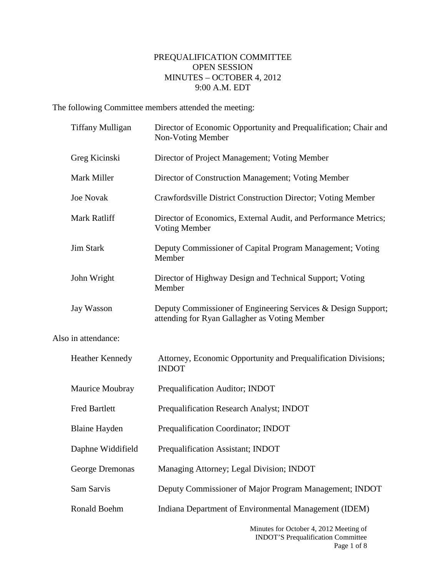## PREQUALIFICATION COMMITTEE OPEN SESSION MINUTES – OCTOBER 4, 2012 9:00 A.M. EDT

The following Committee members attended the meeting:

|                     | <b>Tiffany Mulligan</b> | Director of Economic Opportunity and Prequalification; Chair and<br>Non-Voting Member                          |
|---------------------|-------------------------|----------------------------------------------------------------------------------------------------------------|
|                     | Greg Kicinski           | Director of Project Management; Voting Member                                                                  |
|                     | Mark Miller             | Director of Construction Management; Voting Member                                                             |
|                     | <b>Joe Novak</b>        | Crawfordsville District Construction Director; Voting Member                                                   |
|                     | Mark Ratliff            | Director of Economics, External Audit, and Performance Metrics;<br><b>Voting Member</b>                        |
|                     | <b>Jim Stark</b>        | Deputy Commissioner of Capital Program Management; Voting<br>Member                                            |
|                     | John Wright             | Director of Highway Design and Technical Support; Voting<br>Member                                             |
|                     | Jay Wasson              | Deputy Commissioner of Engineering Services & Design Support;<br>attending for Ryan Gallagher as Voting Member |
| Also in attendance: |                         |                                                                                                                |
|                     | Heather Kennedy         | Attorney, Economic Opportunity and Prequalification Divisions;<br><b>INDOT</b>                                 |
|                     | Maurice Moubray         | Prequalification Auditor; INDOT                                                                                |
|                     | <b>Fred Bartlett</b>    | Prequalification Research Analyst; INDOT                                                                       |
|                     | <b>Blaine Hayden</b>    | Prequalification Coordinator; INDOT                                                                            |
|                     | Daphne Widdifield       | <b>Prequalification Assistant; INDOT</b>                                                                       |
|                     | George Dremonas         | Managing Attorney; Legal Division; INDOT                                                                       |
|                     | Sam Sarvis              | Deputy Commissioner of Major Program Management; INDOT                                                         |
|                     | Ronald Boehm            | Indiana Department of Environmental Management (IDEM)                                                          |
|                     |                         | Minutes for October 4, 2012 Meeting of                                                                         |

Minutes for October 4, 2012 Meeting of INDOT'S Prequalification Committee Page 1 of 8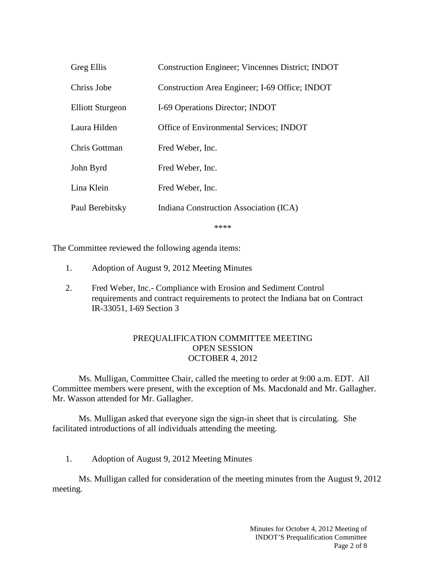| Greg Ellis              | <b>Construction Engineer; Vincennes District; INDOT</b> |
|-------------------------|---------------------------------------------------------|
| Chriss Jobe             | Construction Area Engineer; I-69 Office; INDOT          |
| <b>Elliott Sturgeon</b> | I-69 Operations Director; INDOT                         |
| Laura Hilden            | Office of Environmental Services; INDOT                 |
| Chris Gottman           | Fred Weber, Inc.                                        |
| John Byrd               | Fred Weber, Inc.                                        |
| Lina Klein              | Fred Weber, Inc.                                        |
| Paul Berebitsky         | Indiana Construction Association (ICA)                  |
|                         |                                                         |

\*\*\*\*

The Committee reviewed the following agenda items:

- 1. Adoption of August 9, 2012 Meeting Minutes
- 2. Fred Weber, Inc.- Compliance with Erosion and Sediment Control requirements and contract requirements to protect the Indiana bat on Contract IR-33051, I-69 Section 3

## PREQUALIFICATION COMMITTEE MEETING OPEN SESSION OCTOBER 4, 2012

Ms. Mulligan, Committee Chair, called the meeting to order at 9:00 a.m. EDT. All Committee members were present, with the exception of Ms. Macdonald and Mr. Gallagher. Mr. Wasson attended for Mr. Gallagher.

Ms. Mulligan asked that everyone sign the sign-in sheet that is circulating. She facilitated introductions of all individuals attending the meeting.

1. Adoption of August 9, 2012 Meeting Minutes

Ms. Mulligan called for consideration of the meeting minutes from the August 9, 2012 meeting.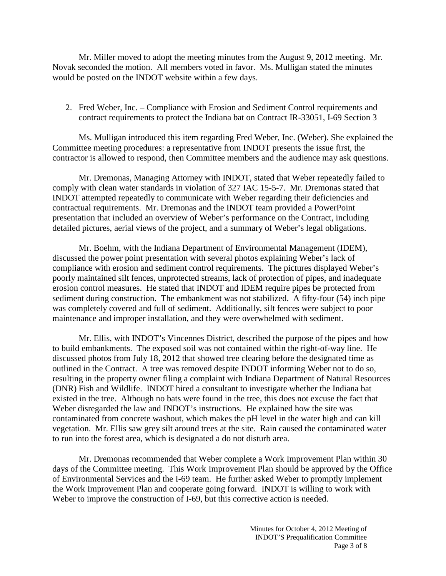Mr. Miller moved to adopt the meeting minutes from the August 9, 2012 meeting. Mr. Novak seconded the motion. All members voted in favor. Ms. Mulligan stated the minutes would be posted on the INDOT website within a few days.

2. Fred Weber, Inc. – Compliance with Erosion and Sediment Control requirements and contract requirements to protect the Indiana bat on Contract IR-33051, I-69 Section 3

Ms. Mulligan introduced this item regarding Fred Weber, Inc. (Weber). She explained the Committee meeting procedures: a representative from INDOT presents the issue first, the contractor is allowed to respond, then Committee members and the audience may ask questions.

Mr. Dremonas, Managing Attorney with INDOT, stated that Weber repeatedly failed to comply with clean water standards in violation of 327 IAC 15-5-7. Mr. Dremonas stated that INDOT attempted repeatedly to communicate with Weber regarding their deficiencies and contractual requirements. Mr. Dremonas and the INDOT team provided a PowerPoint presentation that included an overview of Weber's performance on the Contract, including detailed pictures, aerial views of the project, and a summary of Weber's legal obligations.

Mr. Boehm, with the Indiana Department of Environmental Management (IDEM), discussed the power point presentation with several photos explaining Weber's lack of compliance with erosion and sediment control requirements. The pictures displayed Weber's poorly maintained silt fences, unprotected streams, lack of protection of pipes, and inadequate erosion control measures. He stated that INDOT and IDEM require pipes be protected from sediment during construction. The embankment was not stabilized. A fifty-four (54) inch pipe was completely covered and full of sediment. Additionally, silt fences were subject to poor maintenance and improper installation, and they were overwhelmed with sediment.

Mr. Ellis, with INDOT's Vincennes District, described the purpose of the pipes and how to build embankments. The exposed soil was not contained within the right-of-way line. He discussed photos from July 18, 2012 that showed tree clearing before the designated time as outlined in the Contract. A tree was removed despite INDOT informing Weber not to do so, resulting in the property owner filing a complaint with Indiana Department of Natural Resources (DNR) Fish and Wildlife. INDOT hired a consultant to investigate whether the Indiana bat existed in the tree. Although no bats were found in the tree, this does not excuse the fact that Weber disregarded the law and INDOT's instructions. He explained how the site was contaminated from concrete washout, which makes the pH level in the water high and can kill vegetation. Mr. Ellis saw grey silt around trees at the site. Rain caused the contaminated water to run into the forest area, which is designated a do not disturb area.

Mr. Dremonas recommended that Weber complete a Work Improvement Plan within 30 days of the Committee meeting. This Work Improvement Plan should be approved by the Office of Environmental Services and the I-69 team. He further asked Weber to promptly implement the Work Improvement Plan and cooperate going forward. INDOT is willing to work with Weber to improve the construction of I-69, but this corrective action is needed.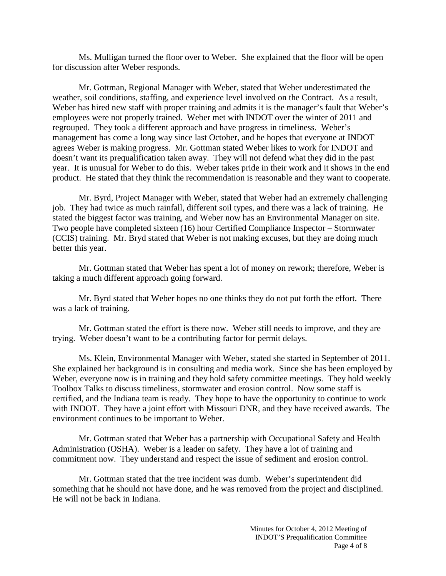Ms. Mulligan turned the floor over to Weber. She explained that the floor will be open for discussion after Weber responds.

Mr. Gottman, Regional Manager with Weber, stated that Weber underestimated the weather, soil conditions, staffing, and experience level involved on the Contract. As a result, Weber has hired new staff with proper training and admits it is the manager's fault that Weber's employees were not properly trained. Weber met with INDOT over the winter of 2011 and regrouped. They took a different approach and have progress in timeliness. Weber's management has come a long way since last October, and he hopes that everyone at INDOT agrees Weber is making progress. Mr. Gottman stated Weber likes to work for INDOT and doesn't want its prequalification taken away. They will not defend what they did in the past year. It is unusual for Weber to do this. Weber takes pride in their work and it shows in the end product. He stated that they think the recommendation is reasonable and they want to cooperate.

Mr. Byrd, Project Manager with Weber, stated that Weber had an extremely challenging job. They had twice as much rainfall, different soil types, and there was a lack of training. He stated the biggest factor was training, and Weber now has an Environmental Manager on site. Two people have completed sixteen (16) hour Certified Compliance Inspector – Stormwater (CCIS) training. Mr. Bryd stated that Weber is not making excuses, but they are doing much better this year.

Mr. Gottman stated that Weber has spent a lot of money on rework; therefore, Weber is taking a much different approach going forward.

Mr. Byrd stated that Weber hopes no one thinks they do not put forth the effort. There was a lack of training.

Mr. Gottman stated the effort is there now. Weber still needs to improve, and they are trying. Weber doesn't want to be a contributing factor for permit delays.

Ms. Klein, Environmental Manager with Weber, stated she started in September of 2011. She explained her background is in consulting and media work. Since she has been employed by Weber, everyone now is in training and they hold safety committee meetings. They hold weekly Toolbox Talks to discuss timeliness, stormwater and erosion control. Now some staff is certified, and the Indiana team is ready. They hope to have the opportunity to continue to work with INDOT. They have a joint effort with Missouri DNR, and they have received awards. The environment continues to be important to Weber.

Mr. Gottman stated that Weber has a partnership with Occupational Safety and Health Administration (OSHA). Weber is a leader on safety. They have a lot of training and commitment now. They understand and respect the issue of sediment and erosion control.

Mr. Gottman stated that the tree incident was dumb. Weber's superintendent did something that he should not have done, and he was removed from the project and disciplined. He will not be back in Indiana.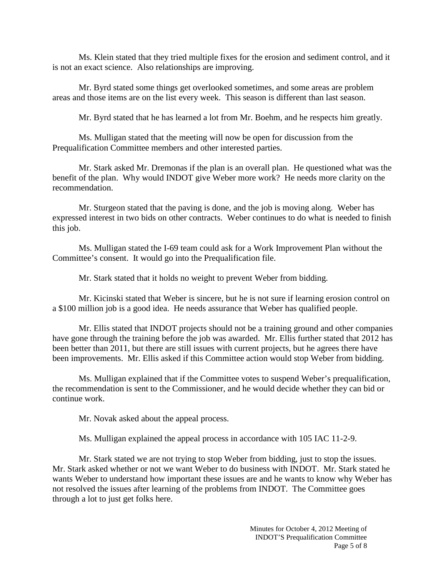Ms. Klein stated that they tried multiple fixes for the erosion and sediment control, and it is not an exact science. Also relationships are improving.

Mr. Byrd stated some things get overlooked sometimes, and some areas are problem areas and those items are on the list every week. This season is different than last season.

Mr. Byrd stated that he has learned a lot from Mr. Boehm, and he respects him greatly.

Ms. Mulligan stated that the meeting will now be open for discussion from the Prequalification Committee members and other interested parties.

Mr. Stark asked Mr. Dremonas if the plan is an overall plan. He questioned what was the benefit of the plan. Why would INDOT give Weber more work? He needs more clarity on the recommendation.

Mr. Sturgeon stated that the paving is done, and the job is moving along. Weber has expressed interest in two bids on other contracts. Weber continues to do what is needed to finish this job.

Ms. Mulligan stated the I-69 team could ask for a Work Improvement Plan without the Committee's consent. It would go into the Prequalification file.

Mr. Stark stated that it holds no weight to prevent Weber from bidding.

Mr. Kicinski stated that Weber is sincere, but he is not sure if learning erosion control on a \$100 million job is a good idea. He needs assurance that Weber has qualified people.

Mr. Ellis stated that INDOT projects should not be a training ground and other companies have gone through the training before the job was awarded. Mr. Ellis further stated that 2012 has been better than 2011, but there are still issues with current projects, but he agrees there have been improvements. Mr. Ellis asked if this Committee action would stop Weber from bidding.

Ms. Mulligan explained that if the Committee votes to suspend Weber's prequalification, the recommendation is sent to the Commissioner, and he would decide whether they can bid or continue work.

Mr. Novak asked about the appeal process.

Ms. Mulligan explained the appeal process in accordance with 105 IAC 11-2-9.

Mr. Stark stated we are not trying to stop Weber from bidding, just to stop the issues. Mr. Stark asked whether or not we want Weber to do business with INDOT. Mr. Stark stated he wants Weber to understand how important these issues are and he wants to know why Weber has not resolved the issues after learning of the problems from INDOT. The Committee goes through a lot to just get folks here.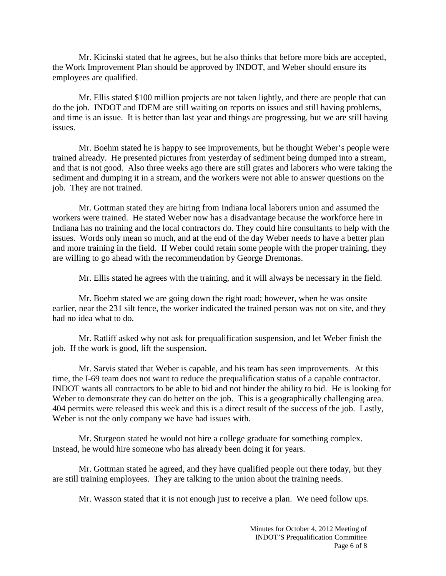Mr. Kicinski stated that he agrees, but he also thinks that before more bids are accepted, the Work Improvement Plan should be approved by INDOT, and Weber should ensure its employees are qualified.

Mr. Ellis stated \$100 million projects are not taken lightly, and there are people that can do the job. INDOT and IDEM are still waiting on reports on issues and still having problems, and time is an issue. It is better than last year and things are progressing, but we are still having issues.

Mr. Boehm stated he is happy to see improvements, but he thought Weber's people were trained already. He presented pictures from yesterday of sediment being dumped into a stream, and that is not good. Also three weeks ago there are still grates and laborers who were taking the sediment and dumping it in a stream, and the workers were not able to answer questions on the job. They are not trained.

Mr. Gottman stated they are hiring from Indiana local laborers union and assumed the workers were trained. He stated Weber now has a disadvantage because the workforce here in Indiana has no training and the local contractors do. They could hire consultants to help with the issues. Words only mean so much, and at the end of the day Weber needs to have a better plan and more training in the field. If Weber could retain some people with the proper training, they are willing to go ahead with the recommendation by George Dremonas.

Mr. Ellis stated he agrees with the training, and it will always be necessary in the field.

Mr. Boehm stated we are going down the right road; however, when he was onsite earlier, near the 231 silt fence, the worker indicated the trained person was not on site, and they had no idea what to do.

Mr. Ratliff asked why not ask for prequalification suspension, and let Weber finish the job. If the work is good, lift the suspension.

Mr. Sarvis stated that Weber is capable, and his team has seen improvements. At this time, the I-69 team does not want to reduce the prequalification status of a capable contractor. INDOT wants all contractors to be able to bid and not hinder the ability to bid. He is looking for Weber to demonstrate they can do better on the job. This is a geographically challenging area. 404 permits were released this week and this is a direct result of the success of the job. Lastly, Weber is not the only company we have had issues with.

Mr. Sturgeon stated he would not hire a college graduate for something complex. Instead, he would hire someone who has already been doing it for years.

Mr. Gottman stated he agreed, and they have qualified people out there today, but they are still training employees. They are talking to the union about the training needs.

Mr. Wasson stated that it is not enough just to receive a plan. We need follow ups.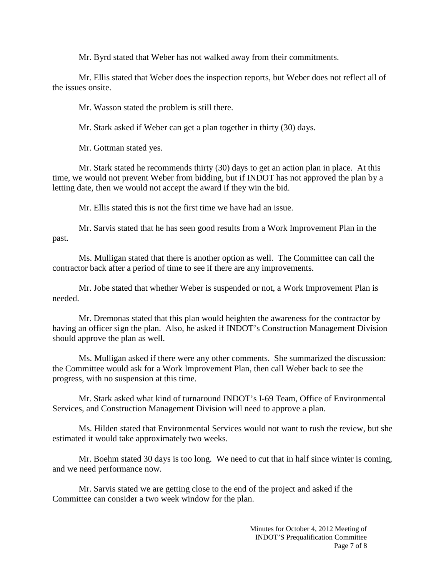Mr. Byrd stated that Weber has not walked away from their commitments.

Mr. Ellis stated that Weber does the inspection reports, but Weber does not reflect all of the issues onsite.

Mr. Wasson stated the problem is still there.

Mr. Stark asked if Weber can get a plan together in thirty (30) days.

Mr. Gottman stated yes.

Mr. Stark stated he recommends thirty (30) days to get an action plan in place. At this time, we would not prevent Weber from bidding, but if INDOT has not approved the plan by a letting date, then we would not accept the award if they win the bid.

Mr. Ellis stated this is not the first time we have had an issue.

Mr. Sarvis stated that he has seen good results from a Work Improvement Plan in the past.

Ms. Mulligan stated that there is another option as well. The Committee can call the contractor back after a period of time to see if there are any improvements.

Mr. Jobe stated that whether Weber is suspended or not, a Work Improvement Plan is needed.

Mr. Dremonas stated that this plan would heighten the awareness for the contractor by having an officer sign the plan. Also, he asked if INDOT's Construction Management Division should approve the plan as well.

Ms. Mulligan asked if there were any other comments. She summarized the discussion: the Committee would ask for a Work Improvement Plan, then call Weber back to see the progress, with no suspension at this time.

Mr. Stark asked what kind of turnaround INDOT's I-69 Team, Office of Environmental Services, and Construction Management Division will need to approve a plan.

Ms. Hilden stated that Environmental Services would not want to rush the review, but she estimated it would take approximately two weeks.

Mr. Boehm stated 30 days is too long. We need to cut that in half since winter is coming, and we need performance now.

Mr. Sarvis stated we are getting close to the end of the project and asked if the Committee can consider a two week window for the plan.